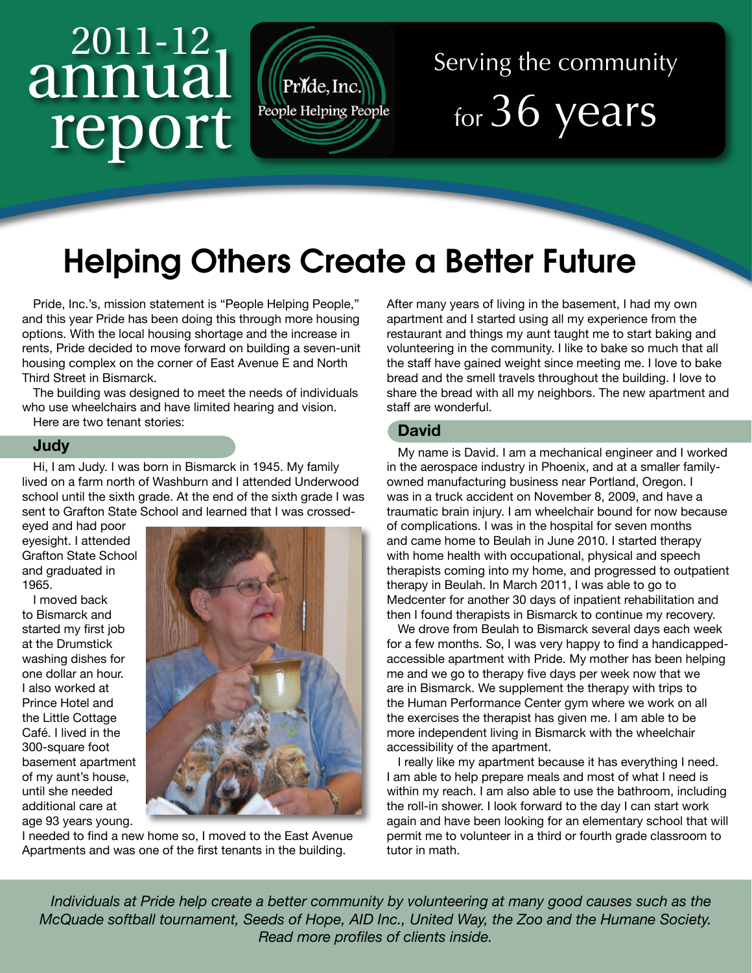# 2011-12 annual report



## Serving the community for 36 years

### Helping Others Create a Better Future

Pride, Inc.'s, mission statement is "People Helping People," and this year Pride has been doing this through more housing options. With the local housing shortage and the increase in rents, Pride decided to move forward on building a seven-unit housing complex on the corner of East Avenue E and North Third Street in Bismarck.

The building was designed to meet the needs of individuals who use wheelchairs and have limited hearing and vision.

Here are two tenant stories:

#### **Judy**

Hi, I am Judy. I was born in Bismarck in 1945. My family lived on a farm north of Washburn and I attended Underwood school until the sixth grade. At the end of the sixth grade I was sent to Grafton State School and learned that I was crossed-

eyed and had poor eyesight. I attended Grafton State School and graduated in 1965.

I moved back to Bismarck and started my first job at the Drumstick washing dishes for one dollar an hour. I also worked at Prince Hotel and the Little Cottage Café. I lived in the 300-square foot basement apartment of my aunt's house, until she needed additional care at age 93 years young.



I needed to find a new home so, I moved to the East Avenue Apartments and was one of the first tenants in the building.

After many years of living in the basement, I had my own apartment and I started using all my experience from the restaurant and things my aunt taught me to start baking and volunteering in the community. I like to bake so much that all the staff have gained weight since meeting me. I love to bake bread and the smell travels throughout the building. I love to share the bread with all my neighbors. The new apartment and staff are wonderful.

#### **David**

My name is David. I am a mechanical engineer and I worked in the aerospace industry in Phoenix, and at a smaller familyowned manufacturing business near Portland, Oregon. I was in a truck accident on November 8, 2009, and have a traumatic brain injury. I am wheelchair bound for now because of complications. I was in the hospital for seven months and came home to Beulah in June 2010. I started therapy with home health with occupational, physical and speech therapists coming into my home, and progressed to outpatient therapy in Beulah. In March 2011, I was able to go to Medcenter for another 30 days of inpatient rehabilitation and then I found therapists in Bismarck to continue my recovery.

We drove from Beulah to Bismarck several days each week for a few months. So, I was very happy to find a handicappedaccessible apartment with Pride. My mother has been helping me and we go to therapy five days per week now that we are in Bismarck. We supplement the therapy with trips to the Human Performance Center gym where we work on all the exercises the therapist has given me. I am able to be more independent living in Bismarck with the wheelchair accessibility of the apartment.

I really like my apartment because it has everything I need. I am able to help prepare meals and most of what I need is within my reach. I am also able to use the bathroom, including the roll-in shower. I look forward to the day I can start work again and have been looking for an elementary school that will permit me to volunteer in a third or fourth grade classroom to tutor in math.

*Individuals at Pride help create a better community by volunteering at many good causes such as the McQuade softball tournament, Seeds of Hope, AID Inc., United Way, the Zoo and the Humane Society. Read more profiles of clients inside.*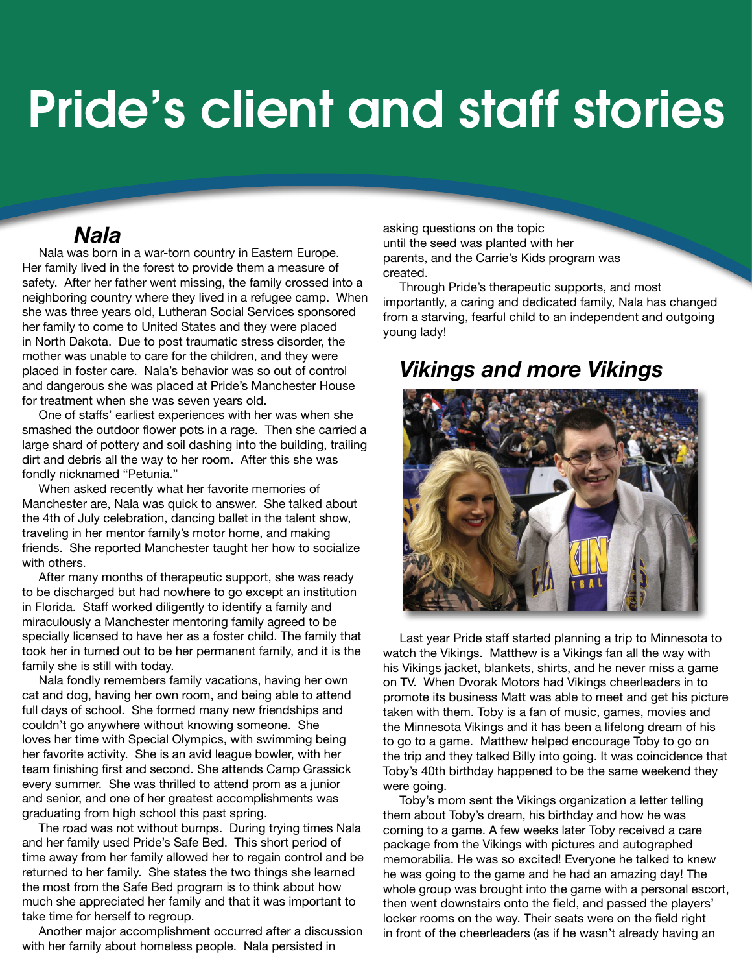## Pride's client and staff stories

#### *Nala*

Nala was born in a war-torn country in Eastern Europe. Her family lived in the forest to provide them a measure of safety. After her father went missing, the family crossed into a neighboring country where they lived in a refugee camp. When she was three years old, Lutheran Social Services sponsored her family to come to United States and they were placed in North Dakota. Due to post traumatic stress disorder, the mother was unable to care for the children, and they were placed in foster care. Nala's behavior was so out of control and dangerous she was placed at Pride's Manchester House for treatment when she was seven years old.

One of staffs' earliest experiences with her was when she smashed the outdoor flower pots in a rage. Then she carried a large shard of pottery and soil dashing into the building, trailing dirt and debris all the way to her room. After this she was fondly nicknamed "Petunia."

When asked recently what her favorite memories of Manchester are, Nala was quick to answer. She talked about the 4th of July celebration, dancing ballet in the talent show, traveling in her mentor family's motor home, and making friends. She reported Manchester taught her how to socialize with others.

After many months of therapeutic support, she was ready to be discharged but had nowhere to go except an institution in Florida. Staff worked diligently to identify a family and miraculously a Manchester mentoring family agreed to be specially licensed to have her as a foster child. The family that took her in turned out to be her permanent family, and it is the family she is still with today.

Nala fondly remembers family vacations, having her own cat and dog, having her own room, and being able to attend full days of school. She formed many new friendships and couldn't go anywhere without knowing someone. She loves her time with Special Olympics, with swimming being her favorite activity. She is an avid league bowler, with her team finishing first and second. She attends Camp Grassick every summer. She was thrilled to attend prom as a junior and senior, and one of her greatest accomplishments was graduating from high school this past spring.

The road was not without bumps. During trying times Nala and her family used Pride's Safe Bed. This short period of time away from her family allowed her to regain control and be returned to her family. She states the two things she learned the most from the Safe Bed program is to think about how much she appreciated her family and that it was important to take time for herself to regroup.

Another major accomplishment occurred after a discussion with her family about homeless people. Nala persisted in

asking questions on the topic until the seed was planted with her parents, and the Carrie's Kids program was created.

Through Pride's therapeutic supports, and most importantly, a caring and dedicated family, Nala has changed from a starving, fearful child to an independent and outgoing young lady!

#### *Vikings and more Vikings*



Last year Pride staff started planning a trip to Minnesota to watch the Vikings. Matthew is a Vikings fan all the way with his Vikings jacket, blankets, shirts, and he never miss a game on TV. When Dvorak Motors had Vikings cheerleaders in to promote its business Matt was able to meet and get his picture taken with them. Toby is a fan of music, games, movies and the Minnesota Vikings and it has been a lifelong dream of his to go to a game. Matthew helped encourage Toby to go on the trip and they talked Billy into going. It was coincidence that Toby's 40th birthday happened to be the same weekend they were going.

Toby's mom sent the Vikings organization a letter telling them about Toby's dream, his birthday and how he was coming to a game. A few weeks later Toby received a care package from the Vikings with pictures and autographed memorabilia. He was so excited! Everyone he talked to knew he was going to the game and he had an amazing day! The whole group was brought into the game with a personal escort, then went downstairs onto the field, and passed the players' locker rooms on the way. Their seats were on the field right in front of the cheerleaders (as if he wasn't already having an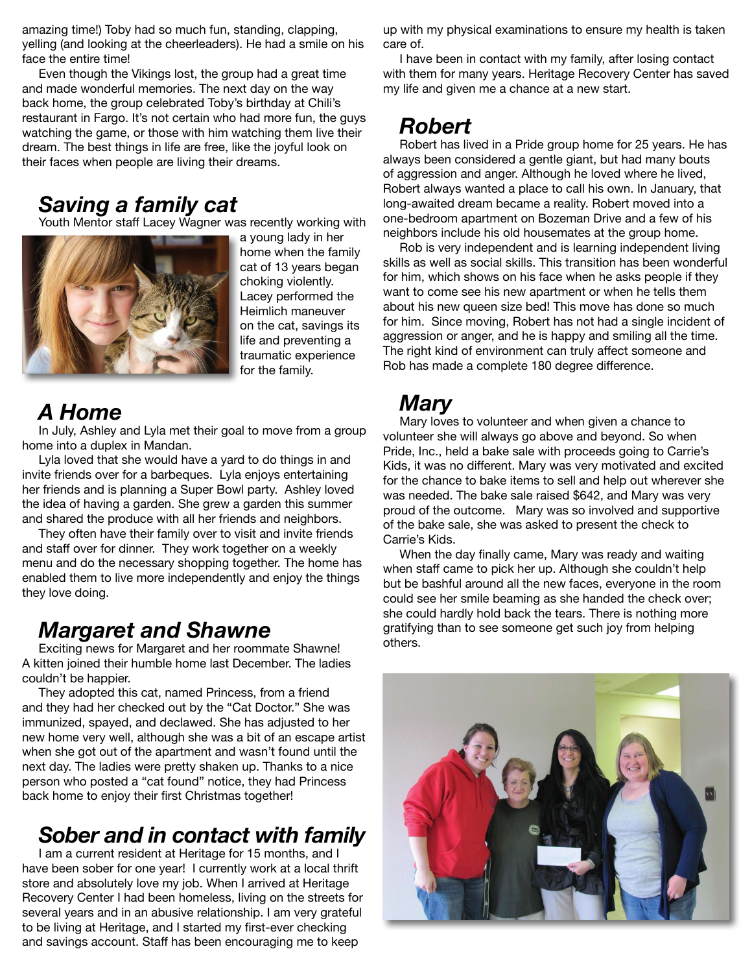amazing time!) Toby had so much fun, standing, clapping, yelling (and looking at the cheerleaders). He had a smile on his face the entire time!

Even though the Vikings lost, the group had a great time and made wonderful memories. The next day on the way back home, the group celebrated Toby's birthday at Chili's restaurant in Fargo. It's not certain who had more fun, the guys watching the game, or those with him watching them live their dream. The best things in life are free, like the joyful look on their faces when people are living their dreams.

#### *Saving a family cat*

Youth Mentor staff Lacey Wagner was recently working with



a young lady in her home when the family cat of 13 years began choking violently. Lacey performed the Heimlich maneuver on the cat, savings its life and preventing a traumatic experience for the family.

#### *A Home*

In July, Ashley and Lyla met their goal to move from a group home into a duplex in Mandan.

Lyla loved that she would have a yard to do things in and invite friends over for a barbeques. Lyla enjoys entertaining her friends and is planning a Super Bowl party. Ashley loved the idea of having a garden. She grew a garden this summer and shared the produce with all her friends and neighbors.

They often have their family over to visit and invite friends and staff over for dinner. They work together on a weekly menu and do the necessary shopping together. The home has enabled them to live more independently and enjoy the things they love doing.

#### *Margaret and Shawne*

Exciting news for Margaret and her roommate Shawne! A kitten joined their humble home last December. The ladies couldn't be happier.

They adopted this cat, named Princess, from a friend and they had her checked out by the "Cat Doctor." She was immunized, spayed, and declawed. She has adjusted to her new home very well, although she was a bit of an escape artist when she got out of the apartment and wasn't found until the next day. The ladies were pretty shaken up. Thanks to a nice person who posted a "cat found" notice, they had Princess back home to enjoy their first Christmas together!

#### *Sober and in contact with family*

I am a current resident at Heritage for 15 months, and I have been sober for one year! I currently work at a local thrift store and absolutely love my job. When I arrived at Heritage Recovery Center I had been homeless, living on the streets for several years and in an abusive relationship. I am very grateful to be living at Heritage, and I started my first-ever checking and savings account. Staff has been encouraging me to keep

up with my physical examinations to ensure my health is taken care of.

I have been in contact with my family, after losing contact with them for many years. Heritage Recovery Center has saved my life and given me a chance at a new start.

#### *Robert*

Robert has lived in a Pride group home for 25 years. He has always been considered a gentle giant, but had many bouts of aggression and anger. Although he loved where he lived, Robert always wanted a place to call his own. In January, that long-awaited dream became a reality. Robert moved into a one-bedroom apartment on Bozeman Drive and a few of his neighbors include his old housemates at the group home.

Rob is very independent and is learning independent living skills as well as social skills. This transition has been wonderful for him, which shows on his face when he asks people if they want to come see his new apartment or when he tells them about his new queen size bed! This move has done so much for him. Since moving, Robert has not had a single incident of aggression or anger, and he is happy and smiling all the time. The right kind of environment can truly affect someone and Rob has made a complete 180 degree difference.

#### *Mary*

Mary loves to volunteer and when given a chance to volunteer she will always go above and beyond. So when Pride, Inc., held a bake sale with proceeds going to Carrie's Kids, it was no different. Mary was very motivated and excited for the chance to bake items to sell and help out wherever she was needed. The bake sale raised \$642, and Mary was very proud of the outcome. Mary was so involved and supportive of the bake sale, she was asked to present the check to Carrie's Kids.

When the day finally came, Mary was ready and waiting when staff came to pick her up. Although she couldn't help but be bashful around all the new faces, everyone in the room could see her smile beaming as she handed the check over; she could hardly hold back the tears. There is nothing more gratifying than to see someone get such joy from helping others.

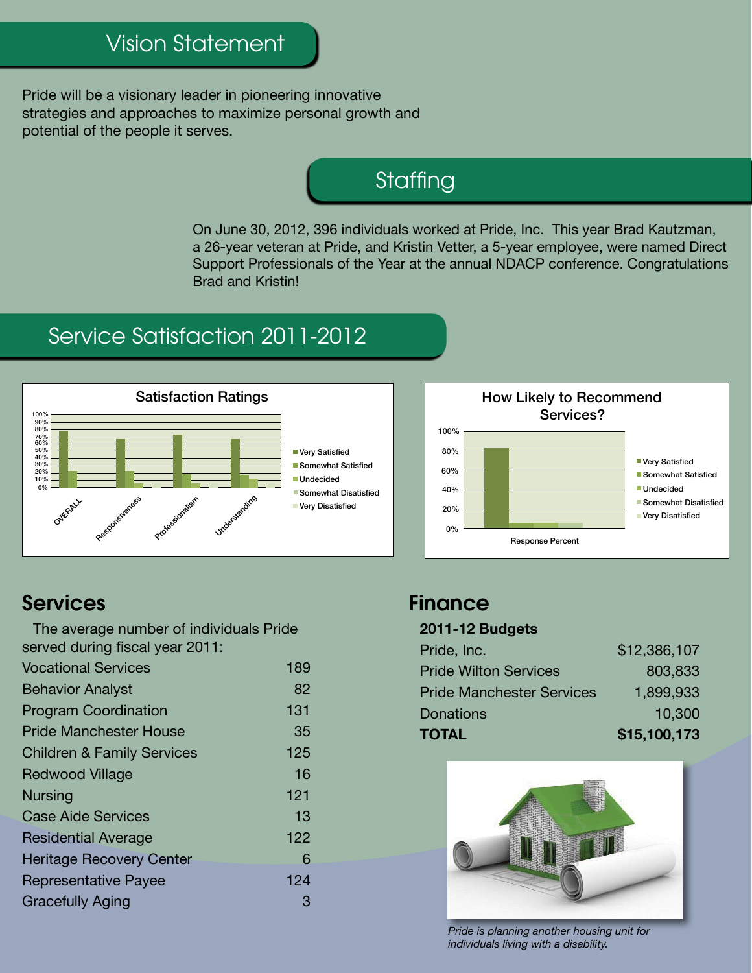#### Vision Statement

Pride will be a visionary leader in pioneering innovative strategies and approaches to maximize personal growth and potential of the people it serves.

#### **Staffing**

On June 30, 2012, 396 individuals worked at Pride, Inc. This year Brad Kautzman, a 26-year veteran at Pride, and Kristin Vetter, a 5-year employee, were named Direct Support Professionals of the Year at the annual NDACP conference. Congratulations Brad and Kristin!

#### Service Satisfaction 2011-2012





#### Services

The average number of individuals Pride served during fiscal year 2011:

| <b>Vocational Services</b>            | 189 |
|---------------------------------------|-----|
| <b>Behavior Analyst</b>               | 82  |
| <b>Program Coordination</b>           | 131 |
| <b>Pride Manchester House</b>         | 35  |
| <b>Children &amp; Family Services</b> | 125 |
| <b>Redwood Village</b>                | 16  |
| <b>Nursing</b>                        | 121 |
| <b>Case Aide Services</b>             | 13  |
| <b>Residential Average</b>            | 122 |
| <b>Heritage Recovery Center</b>       | 6   |
| <b>Representative Payee</b>           | 124 |
| <b>Gracefully Aging</b>               | З   |
|                                       |     |

#### **Finance**

#### **2011-12 Budgets**

| Pride, Inc.                      | \$12,386,107 |
|----------------------------------|--------------|
| <b>Pride Wilton Services</b>     | 803,833      |
| <b>Pride Manchester Services</b> | 1,899,933    |
| <b>Donations</b>                 | 10,300       |
| <b>TOTAL</b>                     | \$15,100,173 |



*Pride is planning another housing unit for individuals living with a disability.*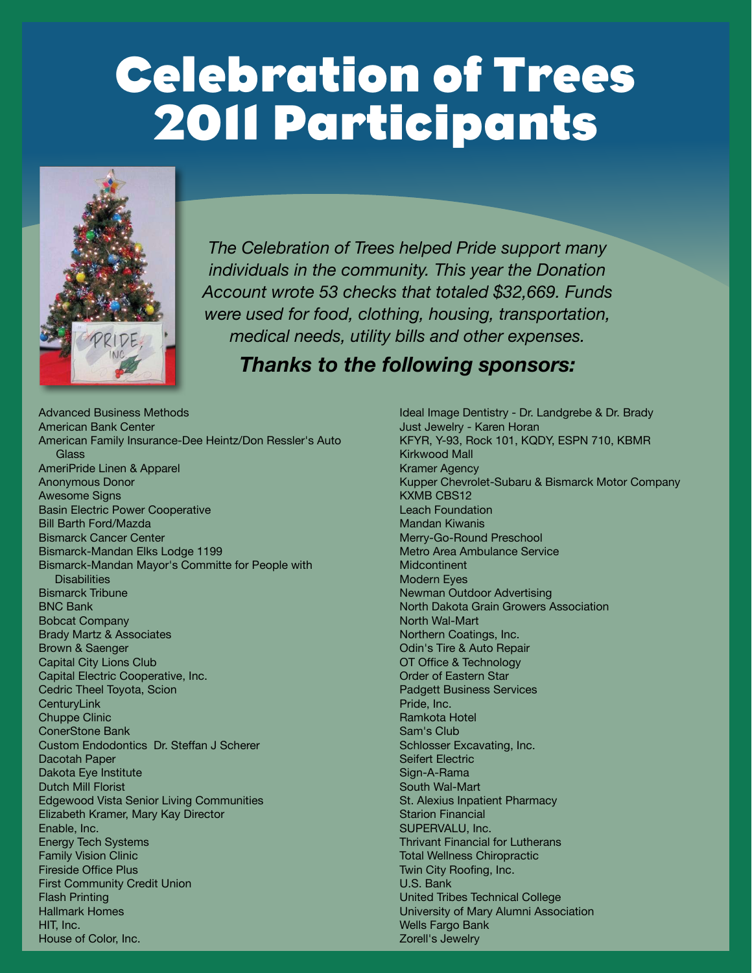## **Celebration of Trees 2011 Participants**



*The Celebration of Trees helped Pride support many individuals in the community. This year the Donation Account wrote 53 checks that totaled \$32,669. Funds were used for food, clothing, housing, transportation, medical needs, utility bills and other expenses.* 

#### *Thanks to the following sponsors:*

Advanced Business Methods American Bank Center American Family Insurance-Dee Heintz/Don Ressler's Auto **Glass** AmeriPride Linen & Apparel Anonymous Donor Awesome Signs Basin Electric Power Cooperative Bill Barth Ford/Mazda Bismarck Cancer Center Bismarck-Mandan Elks Lodge 1199 Bismarck-Mandan Mayor's Committe for People with **Disabilities** Bismarck Tribune BNC Bank Bobcat Company Brady Martz & Associates Brown & Saenger Capital City Lions Club Capital Electric Cooperative, Inc. Cedric Theel Toyota, Scion **CenturyLink** Chuppe Clinic ConerStone Bank Custom Endodontics Dr. Steffan J Scherer Dacotah Paper Dakota Eye Institute Dutch Mill Florist Edgewood Vista Senior Living Communities Elizabeth Kramer, Mary Kay Director Enable, Inc. Energy Tech Systems Family Vision Clinic Fireside Office Plus First Community Credit Union Flash Printing Hallmark Homes HIT, Inc. House of Color, Inc.

Ideal Image Dentistry - Dr. Landgrebe & Dr. Brady Just Jewelry - Karen Horan KFYR, Y-93, Rock 101, KQDY, ESPN 710, KBMR Kirkwood Mall Kramer Agency Kupper Chevrolet-Subaru & Bismarck Motor Company KXMB CBS12 Leach Foundation Mandan Kiwanis Merry-Go-Round Preschool Metro Area Ambulance Service **Midcontinent** Modern Eyes Newman Outdoor Advertising North Dakota Grain Growers Association North Wal-Mart Northern Coatings, Inc. Odin's Tire & Auto Repair OT Office & Technology Order of Eastern Star Padgett Business Services Pride, Inc. Ramkota Hotel Sam's Club Schlosser Excavating, Inc. Seifert Electric Sign-A-Rama South Wal-Mart St. Alexius Inpatient Pharmacy Starion Financial SUPERVALU, Inc. Thrivant Financial for Lutherans Total Wellness Chiropractic Twin City Roofing, Inc. U.S. Bank United Tribes Technical College University of Mary Alumni Association Wells Fargo Bank Zorell's Jewelry